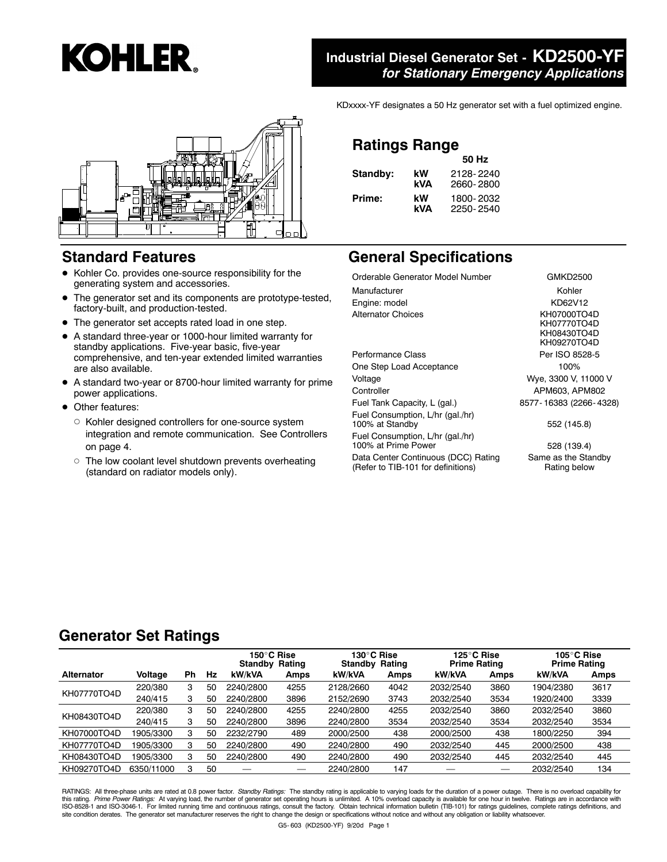

#### **Standard Features**

- $\bullet$  Kohler Co. provides one-source responsibility for the generating system and accessories.
- $\bullet$  The generator set and its components are prototype-tested, factory-built, and production-tested.
- The generator set accepts rated load in one step.
- A standard three-year or 1000-hour limited warranty for standby applications. Five-year basic, five-year comprehensive, and ten-year extended limited warranties are also available.
- A standard two-year or 8700-hour limited warranty for prime power applications.
- Other features:
	- $\circ$  Kohler designed controllers for one-source system integration and remote communication. See Controllers on page 4.
	- $\circ$  The low coolant level shutdown prevents overheating (standard on radiator models only).

#### **Industrial Diesel Generator Set - KD2500-YF** *for Stationary Emergency Applications*

KDxxxx-YF designates a 50 Hz generator set with a fuel optimized engine.

## **Ratings Range**

|          |     | 50 Hz     |
|----------|-----|-----------|
| Standby: | kW  | 2128-2240 |
|          | kVA | 2660-2800 |
| Prime:   | kW  | 1800-2032 |
|          | kVA | 2250-2540 |

### **General Specifications**

Orderable Generator Model Number GMKD2500 Manufacturer **Manufacturer** Manufacturer **Kohler** Engine: model KD62V12 Alternator Choices KH07000TO4D

One Step Load Acceptance 100% Voltage Wye, 3300 V, 11000 V Controller **APM603, APM802** Fuel Tank Capacity, L (gal.) 8577- 16383 (2266- 4328) Fuel Consumption, L/hr (gal./hr) 100% at Standby 552 (145.8) Fuel Consumption, L/hr (gal./hr)

100% at Prime Power 528 (139.4)

Data Center Continuous (DCC) Rating (Refer to TIB-101 for definitions)

KH07770TO4D KH08430TO4D KH09270TO4D Performance Class Per ISO 8528-5

Same as the Standby Rating below

#### **Generator Set Ratings**

|                   |            |    |    | 150°C Rise<br>Standby | Rating | 130°C Rise<br><b>Standby Rating</b> |      | 125°C Rise<br><b>Prime Rating</b> |      | 105°C Rise<br><b>Prime Rating</b> |      |
|-------------------|------------|----|----|-----------------------|--------|-------------------------------------|------|-----------------------------------|------|-----------------------------------|------|
| <b>Alternator</b> | Voltage    | Ph | Hz | kW/kVA                | Amps   | kW/kVA                              | Amps | kW/kVA                            | Amps | kW/kVA                            | Amps |
| KH07770TO4D       | 220/380    | 3  | 50 | 2240/2800             | 4255   | 2128/2660                           | 4042 | 2032/2540                         | 3860 | 1904/2380                         | 3617 |
|                   | 240/415    | з  | 50 | 2240/2800             | 3896   | 2152/2690                           | 3743 | 2032/2540                         | 3534 | 1920/2400                         | 3339 |
| KH08430TO4D       | 220/380    | 3  | 50 | 2240/2800             | 4255   | 2240/2800                           | 4255 | 2032/2540                         | 3860 | 2032/2540                         | 3860 |
|                   | 240/415    | 3  | 50 | 2240/2800             | 3896   | 2240/2800                           | 3534 | 2032/2540                         | 3534 | 2032/2540                         | 3534 |
| KH07000TO4D       | 1905/3300  | з  | 50 | 2232/2790             | 489    | 2000/2500                           | 438  | 2000/2500                         | 438  | 1800/2250                         | 394  |
| KH07770TO4D       | 1905/3300  | з  | 50 | 2240/2800             | 490    | 2240/2800                           | 490  | 2032/2540                         | 445  | 2000/2500                         | 438  |
| KH08430TO4D       | 1905/3300  | з  | 50 | 2240/2800             | 490    | 2240/2800                           | 490  | 2032/2540                         | 445  | 2032/2540                         | 445  |
| KH09270TO4D       | 6350/11000 | 3  | 50 | $\sim$                |        | 2240/2800                           | 147  |                                   |      | 2032/2540                         | 134  |

RATINGS: All three-phase units are rated at 0.8 power factor. *Standby Ratings:* The standby rating is applicable to varying loads for the duration of a power outage. There is no overload capability for<br>this rating. *Prime*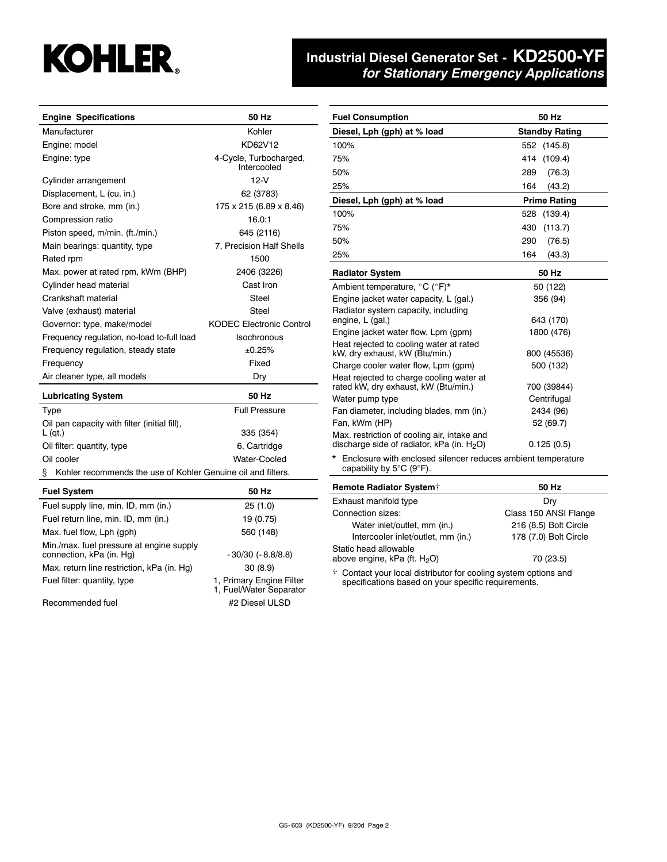# **KOHLER.**

#### **Industrial Diesel Generator Set - KD2500-YF** *for Stationary Emergency Applications*

| <b>Engine Specifications</b>                                      | 50 Hz                                 |  |  |
|-------------------------------------------------------------------|---------------------------------------|--|--|
| Manufacturer                                                      | Kohler                                |  |  |
| Engine: model                                                     | KD62V12                               |  |  |
| Engine: type                                                      | 4-Cycle, Turbocharged,<br>Intercooled |  |  |
| Cylinder arrangement                                              | $12-V$                                |  |  |
| Displacement, L (cu. in.)                                         | 62 (3783)                             |  |  |
| Bore and stroke, mm (in.)                                         | 175 x 215 (6.89 x 8.46)               |  |  |
| Compression ratio                                                 | 16.0:1                                |  |  |
| Piston speed, m/min. (ft./min.)                                   | 645 (2116)                            |  |  |
| Main bearings: quantity, type                                     | 7, Precision Half Shells              |  |  |
| Rated rpm                                                         | 1500                                  |  |  |
| Max. power at rated rpm, kWm (BHP)                                | 2406 (3226)                           |  |  |
| Cylinder head material                                            | Cast Iron                             |  |  |
| Crankshaft material                                               | Steel                                 |  |  |
| Valve (exhaust) material                                          | Steel                                 |  |  |
| Governor: type, make/model                                        | <b>KODEC Electronic Control</b>       |  |  |
| Frequency regulation, no-load to-full load                        | Isochronous                           |  |  |
| Frequency regulation, steady state                                | ±0.25%                                |  |  |
| Frequency                                                         | Fixed                                 |  |  |
| Air cleaner type, all models                                      | Dry                                   |  |  |
| <b>Lubricating System</b>                                         | 50 Hz                                 |  |  |
| Type                                                              | <b>Full Pressure</b>                  |  |  |
| Oil pan capacity with filter (initial fill),<br>$L$ (qt.)         | 335 (354)                             |  |  |
| Oil filter: quantity, type                                        | 6, Cartridge                          |  |  |
| Oil cooler                                                        | Water-Cooled                          |  |  |
| Kohler recommends the use of Kohler Genuine oil and filters.<br>ş |                                       |  |  |
| <b>Fuel System</b>                                                | 50 Hz                                 |  |  |
| $\mathsf{End}$ output line min $\mathsf{ID}$ mm (in )             | OE 11 OI                              |  |  |

| Fuel supply line, min. ID, mm (in.)                                  | 25(1.0)                                             |
|----------------------------------------------------------------------|-----------------------------------------------------|
| Fuel return line, min. ID, mm (in.)                                  | 19 (0.75)                                           |
| Max. fuel flow, Lph (qph)                                            | 560 (148)                                           |
| Min./max. fuel pressure at engine supply<br>connection, kPa (in. Hg) | $-30/30$ ( $-8.8/8.8$ )                             |
| Max. return line restriction, kPa (in. Hq)                           | 30(8.9)                                             |
| Fuel filter: quantity, type                                          | 1, Primary Engine Filter<br>1, Fuel/Water Separator |
| Recommended fuel                                                     | #2 Diesel ULSD                                      |

| <b>Fuel Consumption</b>                                                                               | 50 Hz                 |  |  |
|-------------------------------------------------------------------------------------------------------|-----------------------|--|--|
| Diesel, Lph (gph) at % load                                                                           | <b>Standby Rating</b> |  |  |
| 100%                                                                                                  | 552 (145.8)           |  |  |
| 75%                                                                                                   | 414<br>(109.4)        |  |  |
| 50%                                                                                                   | 289<br>(76.3)         |  |  |
| 25%                                                                                                   | 164<br>(43.2)         |  |  |
| Diesel, Lph (gph) at % load                                                                           | <b>Prime Rating</b>   |  |  |
| 100%                                                                                                  | (139.4)<br>528        |  |  |
| 75%                                                                                                   | (113.7)<br>430        |  |  |
| 50%                                                                                                   | 290<br>(76.5)         |  |  |
| 25%                                                                                                   | 164<br>(43.3)         |  |  |
| <b>Radiator System</b>                                                                                | 50 Hz                 |  |  |
| Ambient temperature, °C (°F)*                                                                         | 50 (122)              |  |  |
| Engine jacket water capacity, L (gal.)                                                                | 356 (94)              |  |  |
| Radiator system capacity, including<br>engine, L (gal.)                                               | 643 (170)             |  |  |
| Engine jacket water flow, Lpm (gpm)                                                                   | 1800 (476)            |  |  |
| Heat rejected to cooling water at rated<br>kW, dry exhaust, kW (Btu/min.)                             | 800 (45536)           |  |  |
| Charge cooler water flow, Lpm (gpm)                                                                   | 500 (132)             |  |  |
| Heat rejected to charge cooling water at<br>rated kW, dry exhaust, kW (Btu/min.)                      | 700 (39844)           |  |  |
| Water pump type                                                                                       | Centrifugal           |  |  |
| Fan diameter, including blades, mm (in.)                                                              | 2434 (96)             |  |  |
| Fan, kWm (HP)                                                                                         | 52 (69.7)             |  |  |
| Max. restriction of cooling air, intake and<br>discharge side of radiator, kPa (in. H <sub>2</sub> O) | 0.125(0.5)            |  |  |
| *<br>Enclosure with enclosed silencer reduces ambient temperature<br>capability by 5°C (9°F).         |                       |  |  |

| <b>Remote Radiator System†</b>                                              | 50 Hz                 |  |  |  |
|-----------------------------------------------------------------------------|-----------------------|--|--|--|
| Exhaust manifold type                                                       | Drv                   |  |  |  |
| Connection sizes:                                                           | Class 150 ANSI Flange |  |  |  |
| Water inlet/outlet, mm (in.)                                                | 216 (8.5) Bolt Circle |  |  |  |
| Intercooler inlet/outlet, mm (in.)                                          | 178 (7.0) Bolt Circle |  |  |  |
| Static head allowable<br>above engine, kPa (ft. H <sub>2</sub> O)           | 70 (23.5)             |  |  |  |
| $\ddot{\tau}$ Contact your local distributor for cooling system options and |                       |  |  |  |

† Contact your local distributor for cooling system options and specifications based on your specific requirements.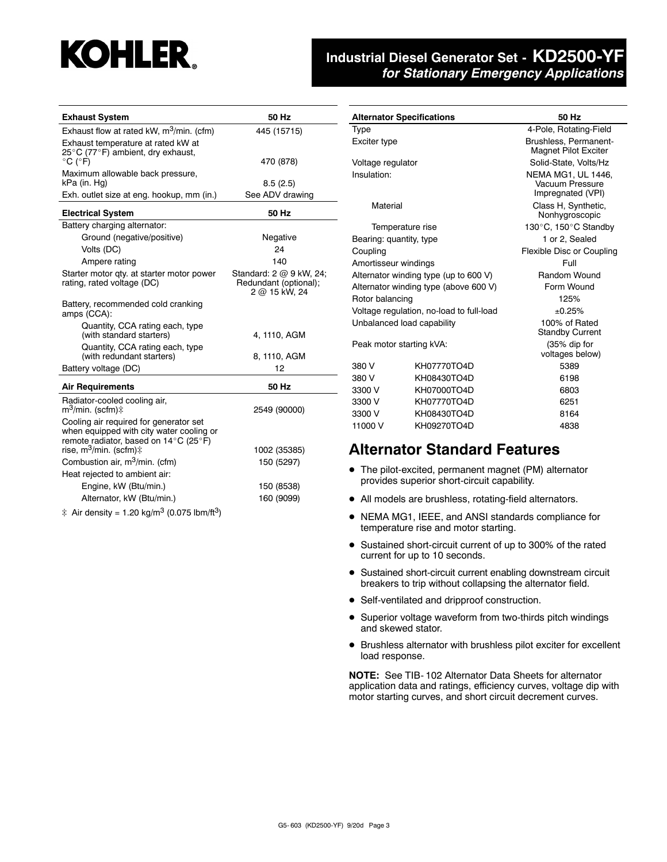# **KOHLER.**

#### **Industrial Diesel Generator Set - KD2500-YF** *for Stationary Emergency Applications*

| <b>Exhaust System</b>                                                                                                       | 50 Hz                                                             |
|-----------------------------------------------------------------------------------------------------------------------------|-------------------------------------------------------------------|
| Exhaust flow at rated kW, $m^3$ /min. (cfm)                                                                                 | 445 (15715)                                                       |
| Exhaust temperature at rated kW at<br>25°C (77°F) ambient, dry exhaust,<br>$^{\circ}$ C ( $^{\circ}$ F)                     | 470 (878)                                                         |
| Maximum allowable back pressure,<br>kPa (in. Hg)                                                                            | 8.5(2.5)                                                          |
| Exh. outlet size at eng. hookup, mm (in.)                                                                                   | See ADV drawing                                                   |
| <b>Electrical System</b>                                                                                                    | 50 Hz                                                             |
| Battery charging alternator:                                                                                                |                                                                   |
| Ground (negative/positive)                                                                                                  | Negative                                                          |
| Volts (DC)                                                                                                                  | 24                                                                |
| Ampere rating                                                                                                               | 140                                                               |
| Starter motor qty. at starter motor power<br>rating, rated voltage (DC)                                                     | Standard: 2 @ 9 kW, 24;<br>Redundant (optional);<br>2 @ 15 kW, 24 |
| Battery, recommended cold cranking<br>amps (CCA):                                                                           |                                                                   |
| Quantity, CCA rating each, type<br>(with standard starters)                                                                 | 4, 1110, AGM                                                      |
| Quantity, CCA rating each, type<br>(with redundant starters)                                                                | 8, 1110, AGM                                                      |
| Battery voltage (DC)                                                                                                        | 12                                                                |
| <b>Air Requirements</b>                                                                                                     | 50 Hz                                                             |
| Radiator-cooled cooling air,<br>m <sup>3</sup> /min. (scfm)‡                                                                | 2549 (90000)                                                      |
| Cooling air required for generator set<br>when equipped with city water cooling or<br>remote radiator, based on 14°C (25°F) |                                                                   |
| rise, m <sup>3</sup> /min. (scfm) $\ddagger$                                                                                | 1002 (35385)                                                      |
| Combustion air, m <sup>3</sup> /min. (cfm)                                                                                  | 150 (5297)                                                        |
| Heat rejected to ambient air:                                                                                               |                                                                   |
| Engine, kW (Btu/min.)                                                                                                       | 150 (8538)                                                        |
| Alternator, kW (Btu/min.)                                                                                                   | 160 (9099)                                                        |
|                                                                                                                             |                                                                   |

 $\ddagger$  Air density = 1.20 kg/m<sup>3</sup> (0.075 lbm/ft<sup>3</sup>)

| <b>Alternator Specifications</b> |                                          | 50 Hz                                                      |  |  |
|----------------------------------|------------------------------------------|------------------------------------------------------------|--|--|
| Type                             |                                          | 4-Pole, Rotating-Field                                     |  |  |
| Exciter type                     |                                          | Brushless, Permanent-<br><b>Magnet Pilot Exciter</b>       |  |  |
| Voltage regulator                |                                          | Solid-State, Volts/Hz                                      |  |  |
| Insulation:                      |                                          | NEMA MG1, UL 1446,<br>Vacuum Pressure<br>Impregnated (VPI) |  |  |
| Material                         |                                          | Class H, Synthetic,<br>Nonhygroscopic                      |  |  |
| Temperature rise                 |                                          | 130°C, 150°C Standby                                       |  |  |
| Bearing: quantity, type          |                                          | 1 or 2, Sealed                                             |  |  |
| Coupling                         |                                          | Flexible Disc or Coupling                                  |  |  |
| Amortisseur windings             |                                          | Full                                                       |  |  |
|                                  | Alternator winding type (up to 600 V)    | Random Wound                                               |  |  |
|                                  | Alternator winding type (above 600 V)    | Form Wound                                                 |  |  |
| Rotor balancing                  |                                          | 125%                                                       |  |  |
|                                  | Voltage regulation, no-load to full-load | ±0.25%                                                     |  |  |
| Unbalanced load capability       |                                          | 100% of Rated<br><b>Standby Current</b>                    |  |  |
| Peak motor starting kVA:         |                                          | $(35%$ dip for<br>voltages below)                          |  |  |
| KH07770TO4D<br>380 V             |                                          | 5389                                                       |  |  |
| 380 V                            | KH08430TO4D                              | 6198                                                       |  |  |
| 3300 V                           | KH07000TO4D                              | 6803                                                       |  |  |
| 3300 V                           | KH07770TO4D                              | 6251                                                       |  |  |
| 3300 V<br>KH08430TO4D            |                                          | 8164                                                       |  |  |
| 11000 V<br>KH09270TO4D           |                                          | 4838                                                       |  |  |

#### **Alternator Standard Features**

- $\bullet$  The pilot-excited, permanent magnet (PM) alternator provides superior short-circuit capability.
- All models are brushless, rotating-field alternators.
- NEMA MG1, IEEE, and ANSI standards compliance for temperature rise and motor starting.
- Sustained short-circuit current of up to 300% of the rated current for up to 10 seconds.
- Sustained short-circuit current enabling downstream circuit breakers to trip without collapsing the alternator field.
- Self-ventilated and dripproof construction.
- Superior voltage waveform from two-thirds pitch windings and skewed stator.
- $\bullet$  Brushless alternator with brushless pilot exciter for excellent load response.

**NOTE:** See TIB- 102 Alternator Data Sheets for alternator application data and ratings, efficiency curves, voltage dip with motor starting curves, and short circuit decrement curves.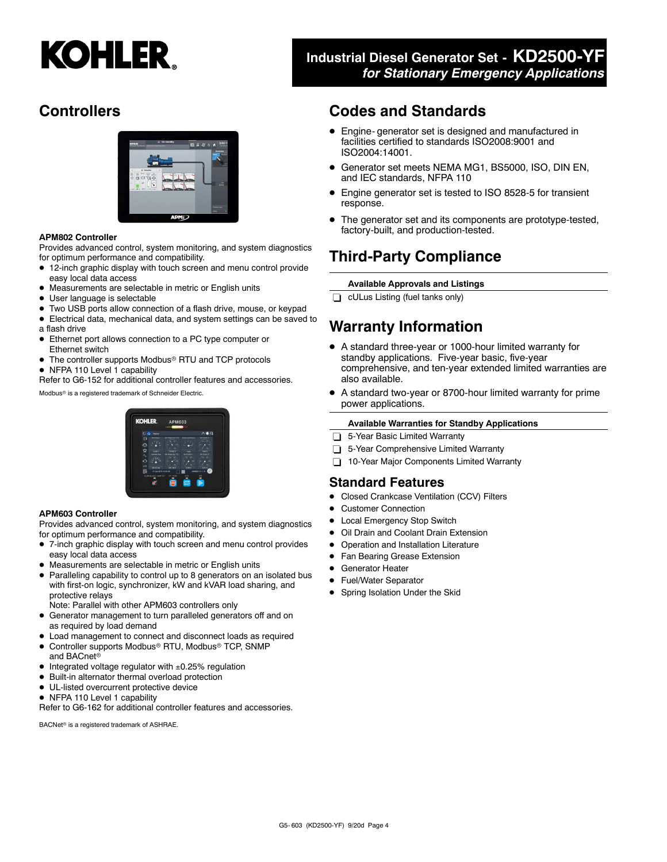# **KOHLER.**

# **Controllers**



#### **APM802 Controller**

Provides advanced control, system monitoring, and system diagnostics for optimum performance and compatibility.

- 12-inch graphic display with touch screen and menu control provide easy local data access
- $\bullet$  Measurements are selectable in metric or English units
- User language is selectable
- $\bullet$  Two USB ports allow connection of a flash drive, mouse, or keypad
- Electrical data, mechanical data, and system settings can be saved to a flash drive
- Ethernet port allows connection to a PC type computer or Ethernet switch
- The controller supports Modbus<sup>®</sup> RTU and TCP protocols
- NFPA 110 Level 1 capability

Refer to G6-152 for additional controller features and accessories.

Modbus<sup>®</sup> is a registered trademark of Schneider Electric.

# **KOHI EE**

#### **APM603 Controller**

Provides advanced control, system monitoring, and system diagnostics for optimum performance and compatibility.

- 7-inch graphic display with touch screen and menu control provides easy local data access
- Measurements are selectable in metric or English units
- Paralleling capability to control up to 8 generators on an isolated bus with first-on logic, synchronizer, kW and kVAR load sharing, and protective relays
- Note: Parallel with other APM603 controllers only
- **•** Generator management to turn paralleled generators off and on as required by load demand
- $\bullet$  Load management to connect and disconnect loads as required
- · Controller supports Modbus<sup>®</sup> RTU, Modbus® TCP, SNMP and BACnet<sup>®</sup>
- $\bullet$  Integrated voltage regulator with  $\pm 0.25\%$  regulation
- $\bullet$  Built-in alternator thermal overload protection
- $\bullet$  UL-listed overcurrent protective device
- NFPA 110 Level 1 capability

Refer to G6-162 for additional controller features and accessories.

BACNet<sup>®</sup> is a registered trademark of ASHRAE.

### **Industrial Diesel Generator Set - KD2500-YF** *for Stationary Emergency Applications*

#### **Codes and Standards**

- Engine- generator set is designed and manufactured in facilities certified to standards ISO2008:9001 and ISO2004:14001.
- $\bullet$  Generator set meets NEMA MG1, BS5000, ISO, DIN EN, and IEC standards, NFPA 110
- Engine generator set is tested to ISO 8528-5 for transient response.
- The generator set and its components are prototype-tested, factory-built, and production-tested.

## **Third-Party Compliance**

#### **Available Approvals and Listings**

 $\Box$  cULus Listing (fuel tanks only)

## **Warranty Information**

- A standard three-year or 1000-hour limited warranty for standby applications. Five-year basic, five-year comprehensive, and ten-year extended limited warranties are also available.
- A standard two-year or 8700-hour limited warranty for prime power applications.

#### **Available Warranties for Standby Applications**

- 5-Year Basic Limited Warranty
- 5-Year Comprehensive Limited Warranty
- 10-Year Major Components Limited Warranty

#### **Standard Features**

- Closed Crankcase Ventilation (CCV) Filters
- **Customer Connection**
- Local Emergency Stop Switch
- **Oil Drain and Coolant Drain Extension**
- Operation and Installation Literature
- Fan Bearing Grease Extension
- **•** Generator Heater
- Fuel/Water Separator
- Spring Isolation Under the Skid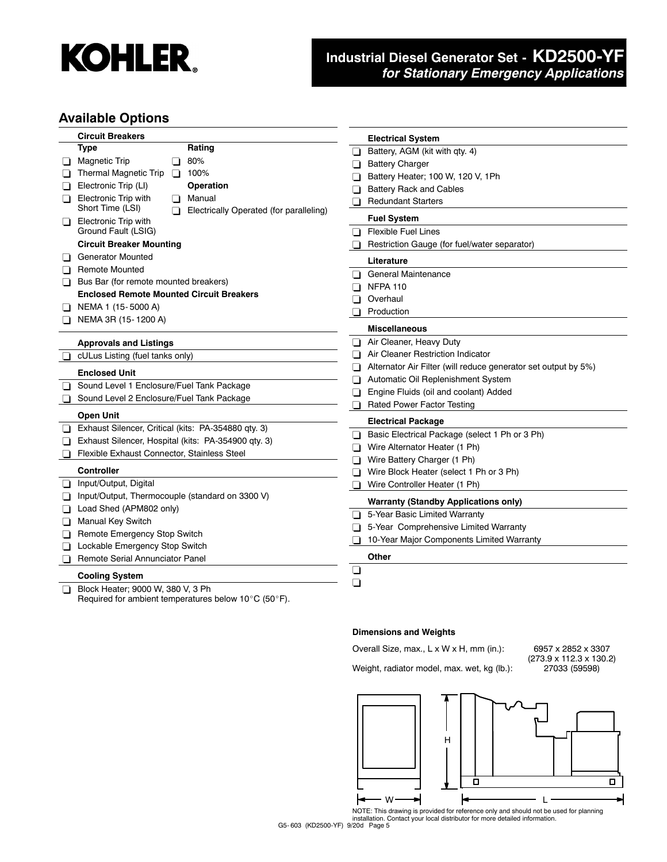

#### **Industrial Diesel Generator Set - KD2500-YF** *for Stationary Emergency Applications*

#### **Available Options**

|         | <b>Circuit Breakers</b>                                                    |                | <b>Electrical System</b>                                       |
|---------|----------------------------------------------------------------------------|----------------|----------------------------------------------------------------|
|         | <b>Type</b><br>Rating                                                      | ◻              | Battery, AGM (kit with qty. 4)                                 |
| ப       | Magnetic Trip<br>80%<br>H                                                  | 0.             | <b>Battery Charger</b>                                         |
|         | <b>Thermal Magnetic Trip</b><br>100%<br>n                                  | $\Box$         | Battery Heater; 100 W, 120 V, 1Ph                              |
|         | Electronic Trip (LI)<br><b>Operation</b>                                   |                | <b>Battery Rack and Cables</b>                                 |
| l I     | <b>Electronic Trip with</b><br>Manual<br>n                                 |                | <b>Redundant Starters</b>                                      |
|         | Short Time (LSI)<br>Electrically Operated (for paralleling)<br>n           |                | <b>Fuel System</b>                                             |
| ப       | Electronic Trip with<br>Ground Fault (LSIG)                                | ΠL             | <b>Flexible Fuel Lines</b>                                     |
|         | <b>Circuit Breaker Mounting</b>                                            |                | Restriction Gauge (for fuel/water separator)                   |
|         | <b>Generator Mounted</b>                                                   |                |                                                                |
| ப       | <b>Remote Mounted</b>                                                      |                | Literature                                                     |
| ப       | Bus Bar (for remote mounted breakers)                                      | $\Box$         | <b>General Maintenance</b>                                     |
|         | <b>Enclosed Remote Mounted Circuit Breakers</b>                            | n              | <b>NFPA 110</b>                                                |
| ப       | NEMA 1 (15-5000 A)                                                         | n              | Overhaul                                                       |
|         | NEMA 3R (15-1200 A)                                                        |                | Production                                                     |
|         |                                                                            |                | <b>Miscellaneous</b>                                           |
|         | <b>Approvals and Listings</b>                                              | $\Box$         | Air Cleaner, Heavy Duty                                        |
| ப       | cULus Listing (fuel tanks only)                                            | $\Box$         | Air Cleaner Restriction Indicator                              |
|         | <b>Enclosed Unit</b>                                                       | Π              | Alternator Air Filter (will reduce generator set output by 5%) |
| ⊔       | Sound Level 1 Enclosure/Fuel Tank Package                                  |                | Automatic Oil Replenishment System                             |
|         | Sound Level 2 Enclosure/Fuel Tank Package                                  |                | Engine Fluids (oil and coolant) Added                          |
|         | <b>Open Unit</b>                                                           |                | Rated Power Factor Testing                                     |
| ⊔       | Exhaust Silencer, Critical (kits: PA-354880 qty. 3)                        |                | <b>Electrical Package</b>                                      |
| ப       | Exhaust Silencer, Hospital (kits: PA-354900 qty. 3)                        | ப              | Basic Electrical Package (select 1 Ph or 3 Ph)                 |
| ப       | Flexible Exhaust Connector, Stainless Steel                                | n              | Wire Alternator Heater (1 Ph)                                  |
|         |                                                                            | $\blacksquare$ | Wire Battery Charger (1 Ph)                                    |
|         | <b>Controller</b>                                                          | П              | Wire Block Heater (select 1 Ph or 3 Ph)                        |
| ப       | Input/Output, Digital                                                      | П              | Wire Controller Heater (1 Ph)                                  |
| ப       | Input/Output, Thermocouple (standard on 3300 V)<br>Load Shed (APM802 only) |                | <b>Warranty (Standby Applications only)</b>                    |
| $\perp$ | <b>Manual Key Switch</b>                                                   | П.             | 5-Year Basic Limited Warranty                                  |
| ப       | Remote Emergency Stop Switch                                               |                | 5-Year Comprehensive Limited Warranty                          |
| ப       | Lockable Emergency Stop Switch                                             |                | 10-Year Major Components Limited Warranty                      |
| ப       | Remote Serial Annunciator Panel                                            |                | Other                                                          |
|         | <b>Cooling System</b>                                                      | ⊔              |                                                                |
|         | Block Heater; 9000 W, 380 V, 3 Ph                                          | ◻              |                                                                |
| l I     | Required for ambient temperatures below $10^{\circ}$ C (50 $^{\circ}$ F).  |                |                                                                |

#### **Dimensions and Weights**

Overall Size, max., L x W x H, mm (in.): 6957 x 2852 x 3307 Weight, radiator model, max. wet, kg (lb.):

 $(273.9 \times 112.3 \times 130.2)$ <br> $27033 (59598)$ 



NOTE: This drawing is provided for reference only and should not be used for planning installation. Contact your local distributor for more detailed information.

G5- 603 (KD2500-YF) 9/20d Page 5